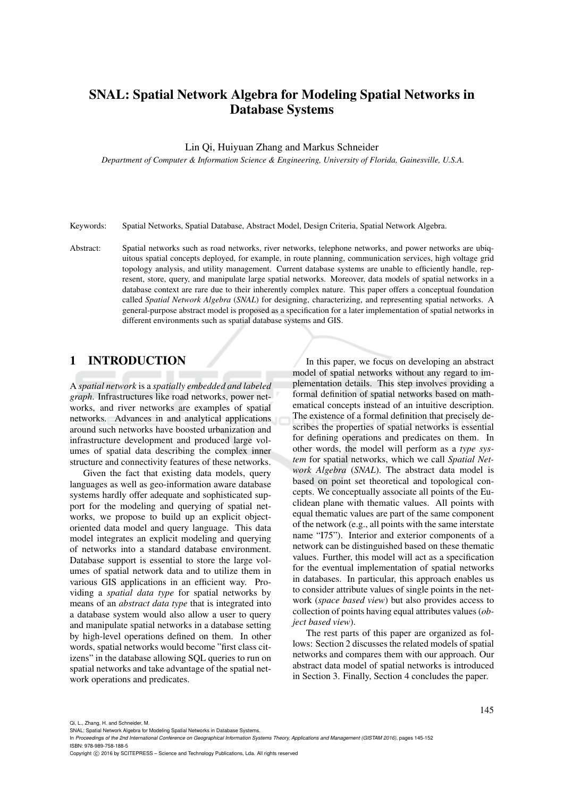# SNAL: Spatial Network Algebra for Modeling Spatial Networks in Database Systems

Lin Qi, Huiyuan Zhang and Markus Schneider

*Department of Computer & Information Science & Engineering, University of Florida, Gainesville, U.S.A.*

Keywords: Spatial Networks, Spatial Database, Abstract Model, Design Criteria, Spatial Network Algebra.

Abstract: Spatial networks such as road networks, river networks, telephone networks, and power networks are ubiquitous spatial concepts deployed, for example, in route planning, communication services, high voltage grid topology analysis, and utility management. Current database systems are unable to efficiently handle, represent, store, query, and manipulate large spatial networks. Moreover, data models of spatial networks in a database context are rare due to their inherently complex nature. This paper offers a conceptual foundation called *Spatial Network Algebra* (*SNAL*) for designing, characterizing, and representing spatial networks. A general-purpose abstract model is proposed as a specification for a later implementation of spatial networks in different environments such as spatial database systems and GIS.

### 1 INTRODUCTION

A *spatial network* is a *spatially embedded and labeled graph*. Infrastructures like road networks, power networks, and river networks are examples of spatial networks. Advances in and analytical applications around such networks have boosted urbanization and infrastructure development and produced large volumes of spatial data describing the complex inner structure and connectivity features of these networks.

Given the fact that existing data models, query languages as well as geo-information aware database systems hardly offer adequate and sophisticated support for the modeling and querying of spatial networks, we propose to build up an explicit objectoriented data model and query language. This data model integrates an explicit modeling and querying of networks into a standard database environment. Database support is essential to store the large volumes of spatial network data and to utilize them in various GIS applications in an efficient way. Providing a *spatial data type* for spatial networks by means of an *abstract data type* that is integrated into a database system would also allow a user to query and manipulate spatial networks in a database setting by high-level operations defined on them. In other words, spatial networks would become "first class citizens" in the database allowing SQL queries to run on spatial networks and take advantage of the spatial network operations and predicates.

In this paper, we focus on developing an abstract model of spatial networks without any regard to implementation details. This step involves providing a formal definition of spatial networks based on mathematical concepts instead of an intuitive description. The existence of a formal definition that precisely describes the properties of spatial networks is essential for defining operations and predicates on them. In other words, the model will perform as a *type system* for spatial networks, which we call *Spatial Network Algebra* (*SNAL*). The abstract data model is based on point set theoretical and topological concepts. We conceptually associate all points of the Euclidean plane with thematic values. All points with equal thematic values are part of the same component of the network (e.g., all points with the same interstate name "I75"). Interior and exterior components of a network can be distinguished based on these thematic values. Further, this model will act as a specification for the eventual implementation of spatial networks in databases. In particular, this approach enables us to consider attribute values of single points in the network (*space based view*) but also provides access to collection of points having equal attributes values (*object based view*).

The rest parts of this paper are organized as follows: Section 2 discusses the related models of spatial networks and compares them with our approach. Our abstract data model of spatial networks is introduced in Section 3. Finally, Section 4 concludes the paper.

Qi, L., Zhang, H. and Schneider, M.

Copyright C 2016 by SCITEPRESS - Science and Technology Publications, Lda. All rights reserved

SNAL: Spatial Network Algebra for Modeling Spatial Networks in Database Systems.

In *Proceedings of the 2nd International Conference on Geographical Information Systems Theory, Applications and Management (GISTAM 2016)*, pages 145-152 ISBN: 978-989-758-188-5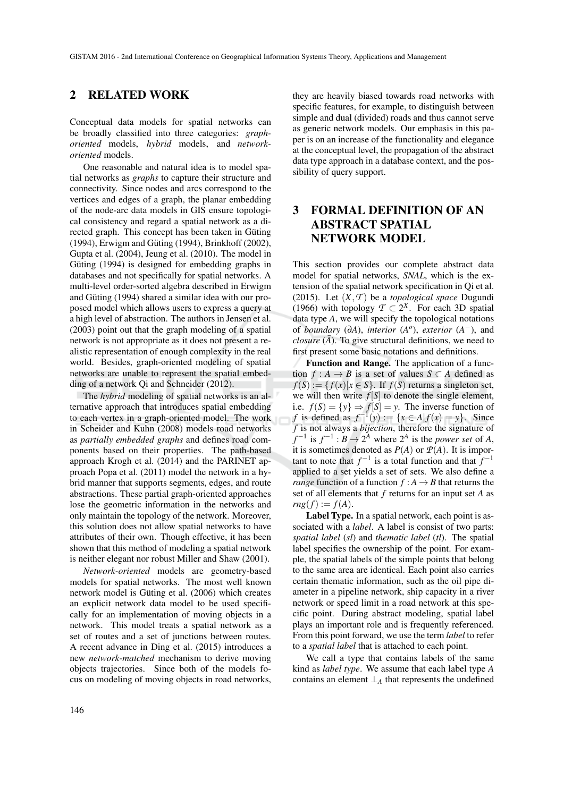### 2 RELATED WORK

Conceptual data models for spatial networks can be broadly classified into three categories: *graphoriented* models, *hybrid* models, and *networkoriented* models.

One reasonable and natural idea is to model spatial networks as *graphs* to capture their structure and connectivity. Since nodes and arcs correspond to the vertices and edges of a graph, the planar embedding of the node-arc data models in GIS ensure topological consistency and regard a spatial network as a directed graph. This concept has been taken in Güting (1994), Erwigm and Güting (1994), Brinkhoff (2002), Gupta et al. (2004), Jeung et al. (2010). The model in Güting (1994) is designed for embedding graphs in databases and not specifically for spatial networks. A multi-level order-sorted algebra described in Erwigm and Güting (1994) shared a similar idea with our proposed model which allows users to express a query at a high level of abstraction. The authors in Jensen et al. (2003) point out that the graph modeling of a spatial network is not appropriate as it does not present a realistic representation of enough complexity in the real world. Besides, graph-oriented modeling of spatial networks are unable to represent the spatial embedding of a network Qi and Schneider (2012).

The *hybrid* modeling of spatial networks is an alternative approach that introduces spatial embedding to each vertex in a graph-oriented model. The work in Scheider and Kuhn (2008) models road networks as *partially embedded graphs* and defines road components based on their properties. The path-based approach Krogh et al. (2014) and the PARINET approach Popa et al. (2011) model the network in a hybrid manner that supports segments, edges, and route abstractions. These partial graph-oriented approaches lose the geometric information in the networks and only maintain the topology of the network. Moreover, this solution does not allow spatial networks to have attributes of their own. Though effective, it has been shown that this method of modeling a spatial network is neither elegant nor robust Miller and Shaw (2001).

*Network-oriented* models are geometry-based models for spatial networks. The most well known network model is Güting et al. (2006) which creates an explicit network data model to be used specifically for an implementation of moving objects in a network. This model treats a spatial network as a set of routes and a set of junctions between routes. A recent advance in Ding et al. (2015) introduces a new *network-matched* mechanism to derive moving objects trajectories. Since both of the models focus on modeling of moving objects in road networks,

they are heavily biased towards road networks with specific features, for example, to distinguish between simple and dual (divided) roads and thus cannot serve as generic network models. Our emphasis in this paper is on an increase of the functionality and elegance at the conceptual level, the propagation of the abstract data type approach in a database context, and the possibility of query support.

## 3 FORMAL DEFINITION OF AN ABSTRACT SPATIAL NETWORK MODEL

This section provides our complete abstract data model for spatial networks, *SNAL*, which is the extension of the spatial network specification in Qi et al. (2015). Let  $(X, \mathcal{T})$  be a *topological space* Dugundi (1966) with topology  $T \subset 2^X$ . For each 3D spatial data type *A*, we will specify the topological notations of *boundary* (∂*A*), *interior* (*A o* ), *exterior* (*A* −), and *closure*  $(A)$ . To give structural definitions, we need to first present some basic notations and definitions.

Function and Range. The application of a function  $f : A \to B$  is a set of values  $S \subset A$  defined as  $f(S) := \{ f(x) | x \in S \}.$  If  $f(S)$  returns a singleton set, we will then write  $f[S]$  to denote the single element, i.e.  $f(S) = \{y\} \Rightarrow f[S] = y$ . The inverse function of *f* is defined as  $f^{-1}(y) := \{x \in A | f(x) = y\}$ . Since *f* is not always a *bijection*, therefore the signature of  $f^{-1}$  is  $f^{-1}: B \to 2^A$  where  $2^A$  is the *power set* of *A*, it is sometimes denoted as  $P(A)$  or  $P(A)$ . It is important to note that  $f^{-1}$  is a total function and that  $f^{-1}$ applied to a set yields a set of sets. We also define a *range* function of a function  $f : A \rightarrow B$  that returns the set of all elements that *f* returns for an input set *A* as  $rng(f) := f(A).$ 

Label Type. In a spatial network, each point is associated with a *label*. A label is consist of two parts: *spatial label* (*sl*) and *thematic label* (*tl*). The spatial label specifies the ownership of the point. For example, the spatial labels of the simple points that belong to the same area are identical. Each point also carries certain thematic information, such as the oil pipe diameter in a pipeline network, ship capacity in a river network or speed limit in a road network at this specific point. During abstract modeling, spatial label plays an important role and is frequently referenced. From this point forward, we use the term *label* to refer to a *spatial label* that is attached to each point.

We call a type that contains labels of the same kind as *label type*. We assume that each label type *A* contains an element  $\perp_A$  that represents the undefined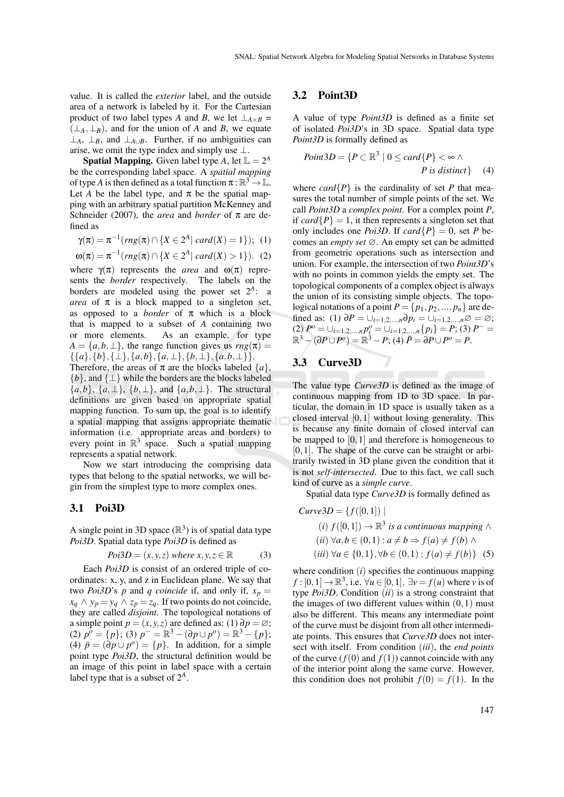value. It is called the *exterior* label, and the outside area of a network is labeled by it. For the Cartesian product of two label types *A* and *B*, we let  $\perp_{A \times B}$  =  $(\perp_A, \perp_B)$ , and for the union of *A* and *B*, we equate ⊥<sub>*A*</sub>, ⊥<sub>*B*</sub>, and ⊥<sub>*A*∪*B*</sub>. Further, if no ambiguities can arise, we omit the type index and simply use  $\bot$ .

**Spatial Mapping.** Given label type A, let  $\mathbb{L} = 2^A$ be the corresponding label space. A *spatial mapping* of type *A* is then defined as a total function  $\pi : \mathbb{R}^3 \to \mathbb{L}$ . Let *A* be the label type, and  $\pi$  be the spatial mapping with an arbitrary spatial partition McKenney and Schneider (2007), the *area* and *border* of  $\pi$  are defined as

$$
\gamma(\pi) = \pi^{-1}(rng(\pi) \cap \{X \in 2^A | card(X) = 1\}); \tag{1}
$$

 $\omega(\pi) = \pi^{-1}(rng(\pi) \cap \{X \in 2^A | card(X) > 1\}).$  (2) where  $\gamma(\pi)$  represents the *area* and  $\omega(\pi)$  represents the *border* respectively. The labels on the borders are modeled using the power set  $2^A$ : a *area* of  $\pi$  is a block mapped to a singleton set, as opposed to a *border* of  $\pi$  which is a block that is mapped to a subset of *A* containing two or more elements. As an example, for type  $A = \{a, b, \perp\}$ , the range function gives us  $rng(\pi)$  $\{\{a\},\{b\},\{\perp\},\{a,b\},\{a,\perp\},\{b,\perp\},\{a,b,\perp\}\}.$ 

Therefore, the areas of  $\pi$  are the blocks labeled  $\{a\}$ , {*b*}, and {⊥} while the borders are the blocks labeled  ${a,b}, {a,\perp}, {b,\perp}, \text{ and } {a,b,\perp}.$  The structural definitions are given based on appropriate spatial mapping function. To sum up, the goal is to identify a spatial mapping that assigns appropriate thematic information (i.e. appropriate areas and borders) to every point in  $\mathbb{R}^3$  space. Such a spatial mapping represents a spatial network.

Now we start introducing the comprising data types that belong to the spatial networks, we will begin from the simplest type to more complex ones.

#### 3.1 Poi3D

A single point in 3D space  $(\mathbb{R}^3)$  is of spatial data type *Poi3D*. Spatial data type *Poi3D* is defined as

$$
Poi3D = (x, y, z) where x, y, z \in \mathbb{R}
$$
 (3)

Each *Poi3D* is consist of an ordered triple of coordinates: x, y, and z in Euclidean plane. We say that two *Poi3D*'s *p* and *q coincide* if, and only if,  $x_p =$ *x*<sup>*q*</sup> ∧ *y*<sup>*p*</sup> = *y*<sup>*q*</sup> ∧ *z*<sup>*p*</sup> = *zq*. If two points do not coincide, they are called *disjoint*. The topological notations of a simple point  $p = (x, y, z)$  are defined as: (1)  $\partial p = \emptyset$ ;  $(2)$   $p^o = \{p\};$   $(3)$   $p^- = \mathbb{R}^3 - (\partial p \cup p^o) = \mathbb{R}^3 - \{p\};$ (4)  $\bar{p} = (\partial p \cup p^o) = \{p\}$ . In addition, for a simple point type *Poi3D*, the structural definition would be an image of this point in label space with a certain label type that is a subset of  $2^A$ .

#### 3.2 Point3D

A value of type *Point3D* is defined as a finite set of isolated *Poi3D*'s in 3D space. Spatial data type *Point3D* is formally defined as

$$
Point3D = \{ P \subset \mathbb{R}^3 \mid 0 \leq card\{P\} < \infty \land
$$
  
*P* is distinct} (4)

where *card* $\{P\}$  is the cardinality of set *P* that measures the total number of simple points of the set. We call *Point3D* a *complex point*. For a complex point *P*, if *card* $\{P\} = 1$ , it then represents a singleton set that only includes one *Poi3D*. If  $card\{P\} = 0$ , set *P* becomes an *empty set* ∅. An empty set can be admitted from geometric operations such as intersection and union. For example, the intersection of two *Point3D*'s with no points in common yields the empty set. The topological components of a complex object is always the union of its consisting simple objects. The topological notations of a point  $P = \{p_1, p_2, ..., p_n\}$  are defined as: (1)  $\partial P = \bigcup_{i=1,2,...,n} \partial p_i = \bigcup_{i=1,2,...,n} \varnothing = \varnothing;$  $(2)$   $P^o = \bigcup_{i=1,2,...,n} p_i^o = \bigcup_{i=1,2,...,n} \{p_i\} = P$ ; (3)  $P^- =$  $\mathbb{R}^3 - (\partial P \cup P^o) = \mathbb{R}^3 - P$ ; (4)  $\bar{P} = \partial P \cup P^o = P$ .

### 3.3 Curve3D

The value type *Curve3D* is defined as the image of continuous mapping from 1D to 3D space. In particular, the domain in 1D space is usually taken as a closed interval  $[0,1]$  without losing generality. This is because any finite domain of closed interval can be mapped to  $[0,1]$  and therefore is homogeneous to  $[0,1]$ . The shape of the curve can be straight or arbitrarily twisted in 3D plane given the condition that it is not *self-intersected*. Due to this fact, we call such kind of curve as a *simple curve*.

Spatial data type *Curve3D* is formally defined as

$$
Curve3D = \{f([0,1]) \mid
$$
  
(i)  $f([0,1]) \rightarrow \mathbb{R}^3$  is a continuous mapping  $\wedge$   
(ii)  $\forall a, b \in (0,1) : a \neq b \Rightarrow f(a) \neq f(b) \wedge$   
(iii)  $\forall a \in \{0,1\}, \forall b \in (0,1) : f(a) \neq f(b)\}$  (5)

where condition (*i*) specifies the continuous mapping  $f: [0,1] \to \mathbb{R}^3$ , i.e.  $\forall u \in [0,1]$ ,  $\exists v = f(u)$  where *v* is of type *Poi3D*. Condition (*ii*) is a strong constraint that the images of two different values within  $(0,1)$  must also be different. This means any intermediate point of the curve must be disjoint from all other intermediate points. This ensures that *Curve3D* does not intersect with itself. From condition (*iii*), the *end points* of the curve  $(f(0)$  and  $f(1))$  cannot coincide with any of the interior point along the same curve. However, this condition does not prohibit  $f(0) = f(1)$ . In the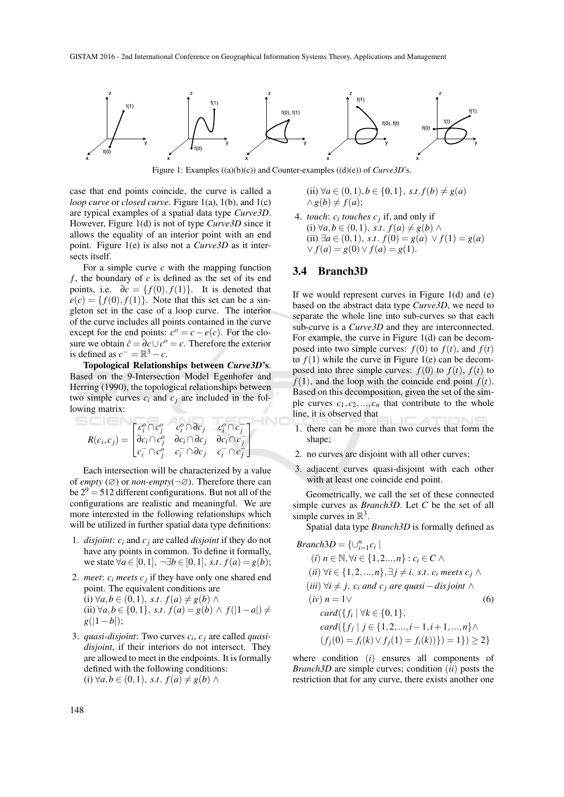

Figure 1: Examples ((a)(b)(c)) and Counter-examples ((d)(e)) of *Curve3D*'s.

INC

case that end points coincide, the curve is called a *loop curve* or *closed curve*. Figure 1(a), 1(b), and 1(c) are typical examples of a spatial data type *Curve3D*. However, Figure 1(d) is not of type *Curve3D* since it allows the equality of an interior point with an end point. Figure 1(e) is also not a *Curve3D* as it intersects itself.

For a simple curve *c* with the mapping function *f* , the boundary of *c* is defined as the set of its end points, i.e.  $\partial c = \{f(0), f(1)\}\$ . It is denoted that  $e(c) = \{f(0), f(1)\}\$ . Note that this set can be a singleton set in the case of a loop curve. The interior of the curve includes all points contained in the curve except for the end points:  $c^o = c - e(c)$ . For the closure we obtain  $\bar{c} = \partial c \cup c^o = c$ . Therefore the exterior is defined as  $c^- = \mathbb{R}^3 - c$ .

Topological Relationships between *Curve3D*'s. Based on the 9-Intersection Model Egenhofer and Herring (1990), the topological relationships between two simple curves  $c_i$  and  $c_j$  are included in the following matrix:

$$
R(c_i, c_j) = \begin{bmatrix} c_i^o \cap c_j^o & c_i^o \cap \partial c_j & c_i^o \cap c_j^- \\ \partial c_i \cap c_j^o & \partial c_i \cap \partial c_j & \partial c_i \cap c_j^- \\ c_i^- \cap c_j^o & c_i^- \cap \partial c_j & c_i^- \cap c_j^- \end{bmatrix}
$$

Each intersection will be characterized by a value of *empty* ( $\emptyset$ ) or *non-empty*( $\neg \emptyset$ ). Therefore there can be  $2^9 = 512$  different configurations. But not all of the configurations are realistic and meaningful. We are more interested in the following relationships which will be utilized in further spatial data type definitions:

- 1. *disjoint*: *c<sup>i</sup>* and *c<sup>j</sup>* are called *disjoint* if they do not have any points in common. To define it formally, we state  $\forall a \in [0,1], \neg \exists b \in [0,1], s.t. f(a) = g(b);$
- 2. *meet*:  $c_i$  *meets*  $c_j$  if they have only one shared end point. The equivalent conditions are (i) ∀*a*, *b* ∈ (0, 1), *s.t*. *f*(*a*)  $\neq$  *g*(*b*) ∧ (ii)  $\forall a, b \in \{0, 1\}, s.t. f(a) = g(b) \land f(|1 - a|) \neq$  $g(|1-b|);$
- 3. *quasi-disjoint*: Two curves *c<sup>i</sup>* , *c <sup>j</sup>* are called *quasidisjoint*, if their interiors do not intersect. They are allowed to meet in the endpoints. It is formally defined with the following conditions:  $(i) \forall a, b \in (0, 1), s.t. f(a) ≠ g(b) \land$

(ii) 
$$
\forall a \in (0,1), b \in \{0,1\}, s.t. f(b) \neq g(a)
$$
  
 $\land g(b) \neq f(a);$ 

4. *touch:*  $c_i$  *touches*  $c_j$  if, and only if (i) ∀*a*, *b* ∈ (0, 1), *s*.*t*.  $f(a) \neq g(b) \land$ (ii) ∃*a* ∈ (0,1), *s*.*t*. *f*(0) = *g*(*a*) ∨ *f*(1) = *g*(*a*)  $∨ f(a) = g(0) ∨ f(a) = g(1).$ 

#### 3.4 Branch3D

If we would represent curves in Figure  $1(d)$  and  $(e)$ based on the abstract data type *Curve3D*, we need to separate the whole line into sub-curves so that each sub-curve is a *Curve3D* and they are interconnected. For example, the curve in Figure 1(d) can be decomposed into two simple curves:  $f(0)$  to  $f(t)$ , and  $f(t)$ to  $f(1)$  while the curve in Figure 1(e) can be decomposed into three simple curves:  $f(0)$  to  $f(t)$ ,  $f(t)$  to  $f(1)$ , and the loop with the coincide end point  $f(t)$ . Based on this decomposition, given the set of the simple curves  $c_1, c_2, \ldots, c_n$  that contribute to the whole line, it is observed that

- 1. there can be more than two curves that form the shape:
- 2. no curves are disjoint with all other curves;
- 3. adjacent curves quasi-disjoint with each other with at least one coincide end point.

Geometrically, we call the set of these connected simple curves as *Branch3D*. Let *C* be the set of all simple curves in  $\mathbb{R}^3$ .

Spatial data type *Branch3D* is formally defined as

$$
Branch3D = \{ \cup_{i=1}^{n} c_i \mid
$$
  
\n(i) n ∈ ℕ, ∀i ∈ {1, 2, ..., n} : c\_i ∈ C ∧  
\n(ii) ∀i ∈ {1, 2, ..., n}, ∃j ≠ i, s.t. c\_i meets c\_j ∧  
\n(iii) ∀i ≠ j, c\_i and c\_j are quasi-disjoint ∧  
\n(iv) n = 1∨  
\ncard({f<sub>i</sub> | ∀k ∈ {0, 1},  
\ncard({f<sub>j</sub> | j ∈ {1, 2, ..., i − 1, i + 1, ..., n} ∧  
\n(f<sub>j</sub>(0) = f<sub>i</sub>(k) ∨ f<sub>j</sub>(1) = f<sub>i</sub>(k))}}) = 1}) ≥ 2}

where condition (*i*) ensures all components of *Branch3D* are simple curves; condition (*ii*) posts the restriction that for any curve, there exists another one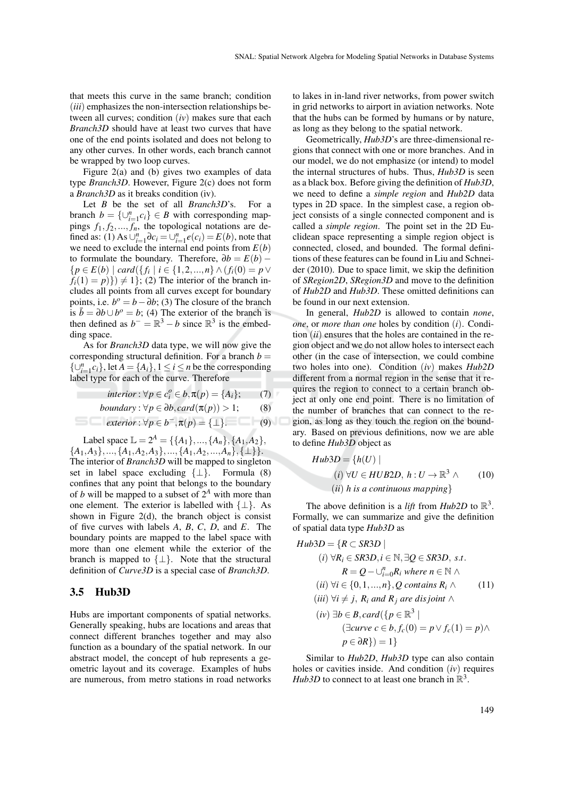that meets this curve in the same branch; condition (*iii*) emphasizes the non-intersection relationships between all curves; condition (*iv*) makes sure that each *Branch3D* should have at least two curves that have one of the end points isolated and does not belong to any other curves. In other words, each branch cannot be wrapped by two loop curves.

Figure 2(a) and (b) gives two examples of data type *Branch3D*. However, Figure 2(c) does not form a *Branch3D* as it breaks condition (iv).

Let *B* be the set of all *Branch3D*'s. For a branch  $b = \{ \cup_{i=1}^{n} c_i \} \in B$  with corresponding mappings  $f_1, f_2, \ldots, f_n$ , the topological notations are defined as: (1) As  $\bigcup_{i=1}^{n} \partial c_i = \bigcup_{i=1}^{n} e(c_i) = E(b)$ , note that we need to exclude the internal end points from  $E(b)$ to formulate the boundary. Therefore,  $\partial b = E(b)$  – {*p* ∈ *E*(*b*) | *card*({ *f<sup>i</sup>* | *i* ∈ {1,2,...,*n*} ∧(*fi*(0) = *p*∨  $f_i(1) = p$ }  $\neq$  1}; (2) The interior of the branch includes all points from all curves except for boundary points, i.e.  $b^o = b - \partial b$ ; (3) The closure of the branch is  $\bar{b} = \partial b \cup b^o = b$ ; (4) The exterior of the branch is then defined as  $b^- = \mathbb{R}^3 - b$  since  $\mathbb{R}^3$  is the embedding space.

As for *Branch3D* data type, we will now give the corresponding structural definition. For a branch  $b =$  $\{\bigcup_{i=1}^{n} c_i\}$ , let  $A = \{A_i\}$ ,  $1 \le i \le n$  be the corresponding label type for each of the curve. Therefore

$$
interior: \forall p \in c_i^o \in b, \pi(p) = \{A_i\};\tag{7}
$$

*boundary*: 
$$
\forall p \in \partial b, \text{card}(\pi(p)) > 1;
$$
 (8)

$$
exterior: \forall p \in b^{-}, \pi(p) = {\perp}.
$$
 (9)

Label space  $\mathbb{L} = 2^A = \{ \{A_1\}, ..., \{A_n\}, \{A_1, A_2\},\}$  ${A_1, A_3}, \ldots, {A_1, A_2, A_3}, \ldots, {A_1, A_2, \ldots, A_n}, \{\perp\}.$ The interior of *Branch3D* will be mapped to singleton set in label space excluding  $\{\perp\}$ . Formula (8) confines that any point that belongs to the boundary of *b* will be mapped to a subset of  $2^A$  with more than one element. The exterior is labelled with  $\{\perp\}$ . As shown in Figure  $2(d)$ , the branch object is consist of five curves with labels *A*, *B*, *C*, *D*, and *E*. The boundary points are mapped to the label space with more than one element while the exterior of the branch is mapped to  $\{\perp\}$ . Note that the structural definition of *Curve3D* is a special case of *Branch3D*.

#### 3.5 Hub3D

Hubs are important components of spatial networks. Generally speaking, hubs are locations and areas that connect different branches together and may also function as a boundary of the spatial network. In our abstract model, the concept of hub represents a geometric layout and its coverage. Examples of hubs are numerous, from metro stations in road networks

to lakes in in-land river networks, from power switch in grid networks to airport in aviation networks. Note that the hubs can be formed by humans or by nature, as long as they belong to the spatial network.

Geometrically, *Hub3D*'s are three-dimensional regions that connect with one or more branches. And in our model, we do not emphasize (or intend) to model the internal structures of hubs. Thus, *Hub3D* is seen as a black box. Before giving the definition of *Hub3D*, we need to define a *simple region* and *Hub2D* data types in 2D space. In the simplest case, a region object consists of a single connected component and is called a *simple region*. The point set in the 2D Euclidean space representing a simple region object is connected, closed, and bounded. The formal definitions of these features can be found in Liu and Schneider (2010). Due to space limit, we skip the definition of *SRegion2D*, *SRegion3D* and move to the definition of *Hub2D* and *Hub3D*. These omitted definitions can be found in our next extension.

In general, *Hub2D* is allowed to contain *none*, *one*, or *more than one* holes by condition (*i*). Condition (*ii*) ensures that the holes are contained in the region object and we do not allow holes to intersect each other (in the case of intersection, we could combine two holes into one). Condition (*iv*) makes *Hub2D* different from a normal region in the sense that it requires the region to connect to a certain branch object at only one end point. There is no limitation of the number of branches that can connect to the region, as long as they touch the region on the boundary. Based on previous definitions, now we are able to define *Hub3D* object as

$$
Hub3D = \{h(U) |
$$
  
(i)  $\forall U \in HUB2D, h: U \rightarrow \mathbb{R}^3 \land$  (10)  
(ii) h is a continuous mapping

The above definition is a *lift* from  $Hub2D$  to  $\mathbb{R}^3$ . Formally, we can summarize and give the definition of spatial data type *Hub3D* as

$$
Hub3D = \{R \subset SR3D \mid
$$
  
\n(i)  $\forall R_i \in SR3D, i \in \mathbb{N}, \exists Q \in SR3D, s.t.$   
\n
$$
R = Q - \bigcup_{i=0}^{n} R_i \text{ where } n \in \mathbb{N} \land
$$
  
\n(ii)  $\forall i \in \{0, 1, ..., n\}, Q \text{ contains } R_i \land$   
\n(iii)  $\forall i \neq j, R_i \text{ and } R_j \text{ are disjoint } \land$   
\n(iv)  $\exists b \in B, card(\{p \in \mathbb{R}^3 \mid$   
\n $(\exists curve \ c \in b, f_c(0) = p \lor f_c(1) = p) \land$ 

Similar to *Hub2D*, *Hub3D* type can also contain holes or cavities inside. And condition (*iv*) requires *Hub3D* to connect to at least one branch in  $\mathbb{R}^3$ .

 $p \in \partial R$ } $) = 1$ }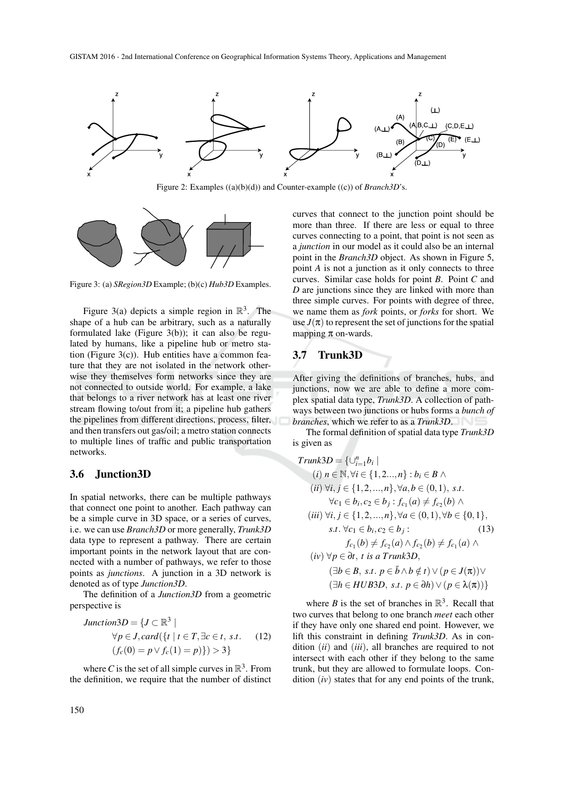

Figure 2: Examples ((a)(b)(d)) and Counter-example ((c)) of *Branch3D*'s.



Figure 3: (a) *SRegion3D* Example; (b)(c) *Hub3D* Examples.

Figure 3(a) depicts a simple region in  $\mathbb{R}^3$ . The shape of a hub can be arbitrary, such as a naturally formulated lake (Figure 3(b)); it can also be regulated by humans, like a pipeline hub or metro station (Figure  $3(c)$ ). Hub entities have a common feature that they are not isolated in the network otherwise they themselves form networks since they are not connected to outside world. For example, a lake that belongs to a river network has at least one river stream flowing to/out from it; a pipeline hub gathers the pipelines from different directions, process, filter, and then transfers out gas/oil; a metro station connects to multiple lines of traffic and public transportation networks.

#### 3.6 Junction3D

In spatial networks, there can be multiple pathways that connect one point to another. Each pathway can be a simple curve in 3D space, or a series of curves, i.e. we can use *Branch3D* or more generally, *Trunk3D* data type to represent a pathway. There are certain important points in the network layout that are connected with a number of pathways, we refer to those points as *junctions*. A junction in a 3D network is denoted as of type *Junction3D*.

The definition of a *Junction3D* from a geometric perspective is

$$
Junction3D = \{J \subset \mathbb{R}^3 \mid
$$
  
\n
$$
\forall p \in J, card(\{t \mid t \in T, \exists c \in t, s.t. \quad (12)
$$
  
\n
$$
(f_c(0) = p \lor f_c(1) = p)\}) > 3\}
$$

where *C* is the set of all simple curves in  $\mathbb{R}^3$ . From the definition, we require that the number of distinct curves that connect to the junction point should be more than three. If there are less or equal to three curves connecting to a point, that point is not seen as a *junction* in our model as it could also be an internal point in the *Branch3D* object. As shown in Figure 5, point *A* is not a junction as it only connects to three curves. Similar case holds for point *B*. Point *C* and *D* are junctions since they are linked with more than three simple curves. For points with degree of three, we name them as *fork* points, or *forks* for short. We use  $J(\pi)$  to represent the set of junctions for the spatial mapping  $\pi$  on-wards.

### 3.7 Trunk3D

After giving the definitions of branches, hubs, and junctions, now we are able to define a more complex spatial data type, *Trunk3D*. A collection of pathways between two junctions or hubs forms a *bunch of branches*, which we refer to as a *Trunk3D*.

The formal definition of spatial data type *Trunk3D* is given as

$$
Trunk3D = \{ \bigcup_{i=1}^{n} b_i \mid
$$
  
\n(i)  $n \in \mathbb{N}, \forall i \in \{1, 2, ..., n\} : b_i \in B \land$   
\n(ii)  $\forall i, j \in \{1, 2, ..., n\}, \forall a, b \in (0, 1), s.t.$   
\n $\forall c_1 \in b_i, c_2 \in b_j : f_{c_1}(a) \neq f_{c_2}(b) \land$   
\n(iii)  $\forall i, j \in \{1, 2, ..., n\}, \forall a \in (0, 1), \forall b \in \{0, 1\},$   
\n*s.t.*  $\forall c_1 \in b_i, c_2 \in b_j : \qquad (13)$   
\n $f_{c_1}(b) \neq f_{c_2}(a) \land f_{c_2}(b) \neq f_{c_1}(a) \land$   
\n(iv)  $\forall p \in \partial t, t \text{ is a Trunk3D},$   
\n $(\exists b \in B, s.t. p \in \bar{b} \land b \notin t) \lor (p \in J(\pi)) \lor$   
\n $(\exists h \in HUB3D, s.t. p \in \partial h) \lor (p \in \lambda(\pi)) \}$ 

where *B* is the set of branches in  $\mathbb{R}^3$ . Recall that two curves that belong to one branch *meet* each other if they have only one shared end point. However, we lift this constraint in defining *Trunk3D*. As in condition (*ii*) and (*iii*), all branches are required to not intersect with each other if they belong to the same trunk, but they are allowed to formulate loops. Condition (*iv*) states that for any end points of the trunk,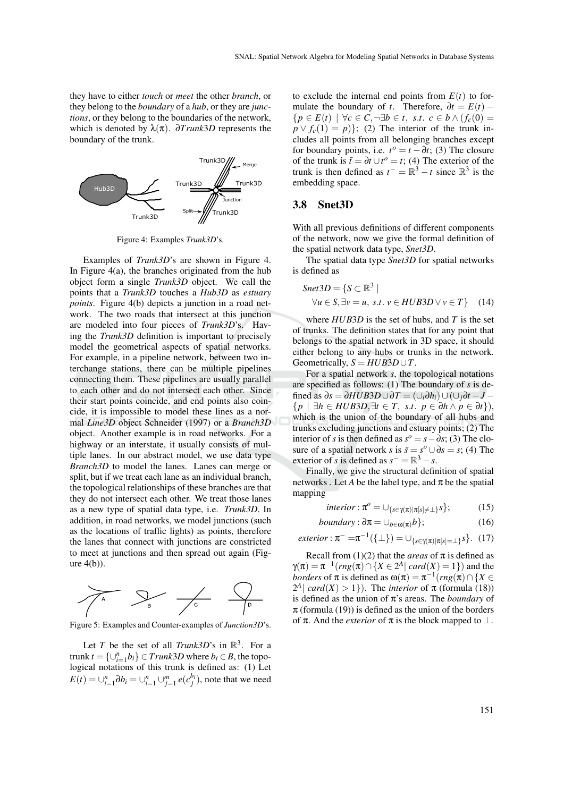they have to either *touch* or *meet* the other *branch*, or they belong to the *boundary* of a *hub*, or they are *junctions*, or they belong to the boundaries of the network, which is denoted by  $\lambda(\pi)$ .  $\partial Trunk3D$  represents the boundary of the trunk.



Figure 4: Examples *Trunk3D*'s.

Examples of *Trunk3D*'s are shown in Figure 4. In Figure 4(a), the branches originated from the hub object form a single *Trunk3D* object. We call the points that a *Trunk3D* touches a *Hub3D* as *estuary points*. Figure 4(b) depicts a junction in a road network. The two roads that intersect at this junction are modeled into four pieces of *Trunk3D*'s. Having the *Trunk3D* definition is important to precisely model the geometrical aspects of spatial networks. For example, in a pipeline network, between two interchange stations, there can be multiple pipelines connecting them. These pipelines are usually parallel to each other and do not intersect each other. Since their start points coincide, and end points also coincide, it is impossible to model these lines as a normal *Line3D* object Schneider (1997) or a *Branch3D* object. Another example is in road networks. For a highway or an interstate, it usually consists of multiple lanes. In our abstract model, we use data type *Branch3D* to model the lanes. Lanes can merge or split, but if we treat each lane as an individual branch, the topological relationships of these branches are that they do not intersect each other. We treat those lanes as a new type of spatial data type, i.e. *Trunk3D*. In addition, in road networks, we model junctions (such as the locations of traffic lights) as points, therefore the lanes that connect with junctions are constricted to meet at junctions and then spread out again (Figure  $4(b)$ ).



Figure 5: Examples and Counter-examples of *Junction3D*'s.

Let *T* be the set of all *Trunk3D*'s in  $\mathbb{R}^3$ . For a trunk  $t = \{\cup_{i=1}^n b_i\} \in \text{Trunk3D}$  where  $b_i \in B$ , the topological notations of this trunk is defined as: (1) Let  $E(t) = \bigcup_{i=1}^{n} \partial b_i = \bigcup_{i=1}^{n} \bigcup_{j=1}^{m} e(c_j^{b_i})$ , note that we need

to exclude the internal end points from  $E(t)$  to formulate the boundary of *t*. Therefore,  $\partial t = E(t)$  –  ${p \in E(t) \mid \forall c \in C, \neg \exists b \in t, \ s.t. \ c \in b \land (f_c(0))}$  $p \vee f_c(1) = p$ }; (2) The interior of the trunk includes all points from all belonging branches except for boundary points, i.e.  $t^{\circ} = t - \partial t$ ; (3) The closure of the trunk is  $\bar{t} = \partial t \cup t^{\circ} = t$ ; (4) The exterior of the trunk is then defined as  $t^- = \mathbb{R}^3 - t$  since  $\mathbb{R}^3$  is the embedding space.

#### 3.8 Snet3D

With all previous definitions of different components of the network, now we give the formal definition of the spatial network data type, *Snet3D*.

The spatial data type *Snet3D* for spatial networks is defined as

$$
Snet3D = \{ S \subset \mathbb{R}^3 \mid
$$
  
\n
$$
\forall u \in S, \exists v = u, \ s.t. \ v \in HUB3D \lor v \in T \}
$$
 (14)

where *HUB*3*D* is the set of hubs, and *T* is the set of trunks. The definition states that for any point that belongs to the spatial network in 3D space, it should either belong to any hubs or trunks in the network. Geometrically,  $S = HUB3D \cup T$ .

For a spatial network *s*, the topological notations are specified as follows: (1) The boundary of *s* is defined as ∂*s* = ∂*HUB*3*D*∪∂*T* = (∪*i*∂*hi*)∪(∪*j*∂*t* −*J* − {*p* | ∃*h* ∈ *HUB*3*D*,∃*t* ∈ *T*, *s*.*t*. *p* ∈ ∂*h* ∧ *p* ∈ ∂*t*}), which is the union of the boundary of all hubs and trunks excluding junctions and estuary points; (2) The interior of *s* is then defined as  $s^o = s - \overline{\partial} s$ ; (3) The closure of a spatial network *s* is  $\bar{s} = s^o \cup \partial s = s$ ; (4) The exterior of *s* is defined as  $s^- = \mathbb{R}^3 - s$ .

Finally, we give the structural definition of spatial networks . Let *A* be the label type, and  $\pi$  be the spatial mapping

$$
interior: \pi^{\circ} = \cup_{\{s \in \gamma(\pi) | \pi[s] \neq \bot\}} s \}; \tag{15}
$$

*boundary*: 
$$
\partial \pi = \bigcup_{b \in \omega(\pi)} b
$$
}; (16)

 $exterior: \pi^- = \pi^{-1}(\{\bot\}) = \cup_{\{s \in \gamma(\pi) | \pi[s] = \bot\}} s$ . (17)

Recall from (1)(2) that the *areas* of  $\pi$  is defined as  $\gamma(\pi) = \pi^{-1}(rng(\pi) \cap \{X \in 2^A | card(X) = 1\})$  and the *borders* of  $\pi$  is defined as  $\omega(\pi) = \pi^{-1}(rng(\pi) \cap \{X \in \mathbb{R}^n\})$  $2^A$ | *card*(*X*) > 1}). The *interior* of  $\pi$  (formula (18)) is defined as the union of π's areas. The *boundary* of  $\pi$  (formula (19)) is defined as the union of the borders of  $\pi$ . And the *exterior* of  $\pi$  is the block mapped to  $\perp$ .